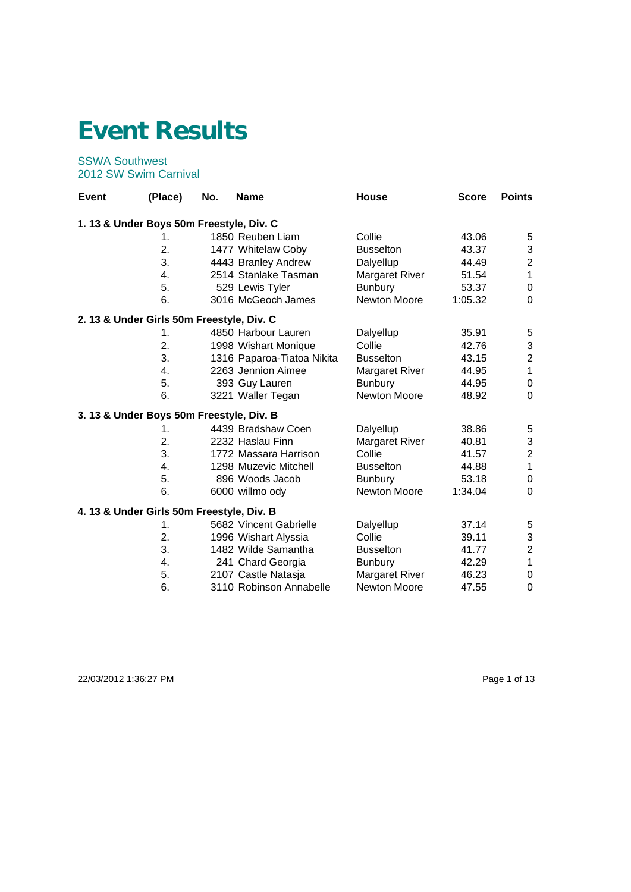## **Event Results**

SSWA Southwest 2012 SW Swim Carnival

| <b>Event</b> | (Place)                                   | No. | <b>Name</b>                | <b>House</b>          | <b>Score</b> | <b>Points</b>             |
|--------------|-------------------------------------------|-----|----------------------------|-----------------------|--------------|---------------------------|
|              | 1. 13 & Under Boys 50m Freestyle, Div. C  |     |                            |                       |              |                           |
|              | 1.                                        |     | 1850 Reuben Liam           | Collie                | 43.06        | 5                         |
|              | 2.                                        |     | 1477 Whitelaw Coby         | <b>Busselton</b>      | 43.37        | $\ensuremath{\mathsf{3}}$ |
|              | 3.                                        |     | 4443 Branley Andrew        | Dalyellup             | 44.49        | $\overline{2}$            |
|              | 4.                                        |     | 2514 Stanlake Tasman       | Margaret River        | 51.54        | $\mathbf{1}$              |
|              | 5.                                        |     | 529 Lewis Tyler            | <b>Bunbury</b>        | 53.37        | $\pmb{0}$                 |
|              | 6.                                        |     | 3016 McGeoch James         | Newton Moore          | 1:05.32      | $\mathbf 0$               |
|              | 2.13 & Under Girls 50m Freestyle, Div. C  |     |                            |                       |              |                           |
|              | 1.                                        |     | 4850 Harbour Lauren        | Dalyellup             | 35.91        | 5                         |
|              | 2.                                        |     | 1998 Wishart Monique       | Collie                | 42.76        | $\ensuremath{\mathsf{3}}$ |
|              | 3.                                        |     | 1316 Paparoa-Tiatoa Nikita | <b>Busselton</b>      | 43.15        | $\overline{c}$            |
|              | 4.                                        |     | 2263 Jennion Aimee         | <b>Margaret River</b> | 44.95        | $\mathbf{1}$              |
|              | 5.                                        |     | 393 Guy Lauren             | <b>Bunbury</b>        | 44.95        | $\pmb{0}$                 |
|              | 6.                                        |     | 3221 Waller Tegan          | Newton Moore          | 48.92        | $\mathbf 0$               |
|              | 3. 13 & Under Boys 50m Freestyle, Div. B  |     |                            |                       |              |                           |
|              | 1.                                        |     | 4439 Bradshaw Coen         | Dalyellup             | 38.86        | 5                         |
|              | 2.                                        |     | 2232 Haslau Finn           | Margaret River        | 40.81        | $\ensuremath{\mathsf{3}}$ |
|              | 3.                                        |     | 1772 Massara Harrison      | Collie                | 41.57        | $\overline{2}$            |
|              | 4.                                        |     | 1298 Muzevic Mitchell      | <b>Busselton</b>      | 44.88        | $\mathbf{1}$              |
|              | 5.                                        |     | 896 Woods Jacob            | <b>Bunbury</b>        | 53.18        | $\pmb{0}$                 |
|              | 6.                                        |     | 6000 willmo ody            | Newton Moore          | 1:34.04      | $\mathbf 0$               |
|              | 4. 13 & Under Girls 50m Freestyle, Div. B |     |                            |                       |              |                           |
|              | 1.                                        |     | 5682 Vincent Gabrielle     | Dalyellup             | 37.14        | 5                         |
|              | 2.                                        |     | 1996 Wishart Alyssia       | Collie                | 39.11        | $\sqrt{3}$                |
|              | 3.                                        |     | 1482 Wilde Samantha        | <b>Busselton</b>      | 41.77        | $\overline{c}$            |
|              | 4.                                        |     | 241 Chard Georgia          | <b>Bunbury</b>        | 42.29        | $\mathbf{1}$              |
|              | 5.                                        |     | 2107 Castle Natasja        | <b>Margaret River</b> | 46.23        | $\pmb{0}$                 |
|              | 6.                                        |     | 3110 Robinson Annabelle    | Newton Moore          | 47.55        | $\mathbf 0$               |

22/03/2012 1:36:27 PM Page 1 of 13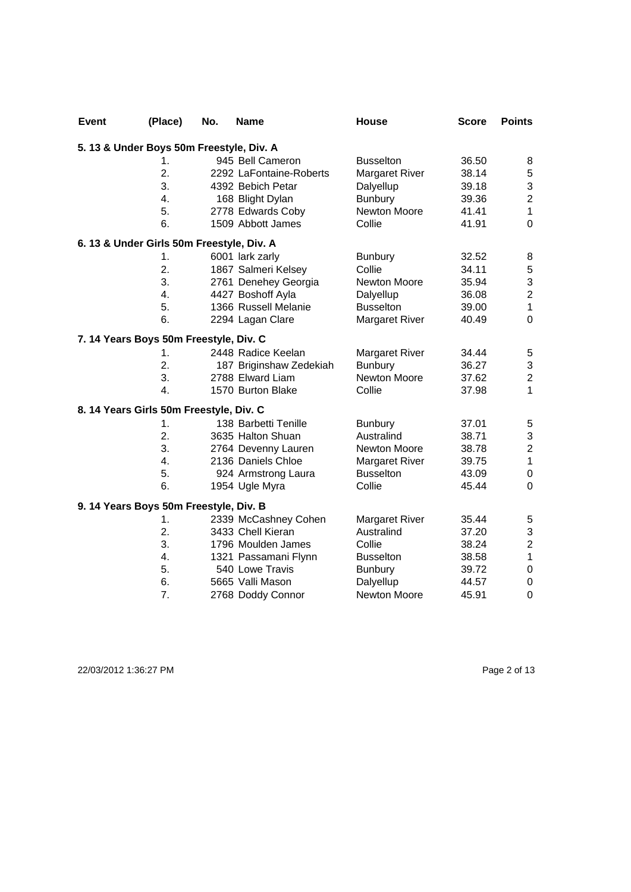| <b>Event</b> | (Place)                                  | No. | <b>Name</b>             | <b>House</b>          | <b>Score</b> | <b>Points</b>             |
|--------------|------------------------------------------|-----|-------------------------|-----------------------|--------------|---------------------------|
|              | 5. 13 & Under Boys 50m Freestyle, Div. A |     |                         |                       |              |                           |
|              | 1.                                       |     | 945 Bell Cameron        | <b>Busselton</b>      | 36.50        | 8                         |
|              | 2.                                       |     | 2292 LaFontaine-Roberts | Margaret River        | 38.14        | $\mathbf 5$               |
|              | 3.                                       |     | 4392 Bebich Petar       | Dalyellup             | 39.18        | 3                         |
|              | 4.                                       |     | 168 Blight Dylan        | <b>Bunbury</b>        | 39.36        | $\boldsymbol{2}$          |
|              | 5.                                       |     | 2778 Edwards Coby       | Newton Moore          | 41.41        | $\mathbf{1}$              |
|              | 6.                                       |     | 1509 Abbott James       | Collie                | 41.91        | $\mathbf 0$               |
|              | 6.13 & Under Girls 50m Freestyle, Div. A |     |                         |                       |              |                           |
|              | 1.                                       |     | 6001 lark zarly         | <b>Bunbury</b>        | 32.52        | 8                         |
|              | 2.                                       |     | 1867 Salmeri Kelsey     | Collie                | 34.11        | $\mathbf 5$               |
|              | 3.                                       |     | 2761 Denehey Georgia    | Newton Moore          | 35.94        | $\mathsf 3$               |
|              | 4.                                       |     | 4427 Boshoff Ayla       | Dalyellup             | 36.08        | $\boldsymbol{2}$          |
|              | 5.                                       |     | 1366 Russell Melanie    | <b>Busselton</b>      | 39.00        | $\mathbf{1}$              |
|              | 6.                                       |     | 2294 Lagan Clare        | <b>Margaret River</b> | 40.49        | $\mathbf 0$               |
|              | 7. 14 Years Boys 50m Freestyle, Div. C   |     |                         |                       |              |                           |
|              | 1.                                       |     | 2448 Radice Keelan      | Margaret River        | 34.44        | 5                         |
|              | 2.                                       |     | 187 Briginshaw Zedekiah | <b>Bunbury</b>        | 36.27        | $\ensuremath{\mathsf{3}}$ |
|              | 3.                                       |     | 2788 Elward Liam        | Newton Moore          | 37.62        | $\overline{2}$            |
|              | 4.                                       |     | 1570 Burton Blake       | Collie                | 37.98        | $\mathbf{1}$              |
|              | 8. 14 Years Girls 50m Freestyle, Div. C  |     |                         |                       |              |                           |
|              | 1.                                       |     | 138 Barbetti Tenille    | <b>Bunbury</b>        | 37.01        | 5                         |
|              | 2.                                       |     | 3635 Halton Shuan       | Australind            | 38.71        | $\ensuremath{\mathsf{3}}$ |
|              | 3.                                       |     | 2764 Devenny Lauren     | Newton Moore          | 38.78        | $\boldsymbol{2}$          |
|              | 4.                                       |     | 2136 Daniels Chloe      | <b>Margaret River</b> | 39.75        | $\mathbf{1}$              |
|              | 5.                                       |     | 924 Armstrong Laura     | <b>Busselton</b>      | 43.09        | $\pmb{0}$                 |
|              | 6.                                       |     | 1954 Ugle Myra          | Collie                | 45.44        | $\mathbf 0$               |
|              | 9. 14 Years Boys 50m Freestyle, Div. B   |     |                         |                       |              |                           |
|              | 1.                                       |     | 2339 McCashney Cohen    | <b>Margaret River</b> | 35.44        | 5                         |
|              | 2.                                       |     | 3433 Chell Kieran       | Australind            | 37.20        | $\ensuremath{\mathsf{3}}$ |
|              | 3.                                       |     | 1796 Moulden James      | Collie                | 38.24        | $\mathbf 2$               |
|              | 4.                                       |     | 1321 Passamani Flynn    | <b>Busselton</b>      | 38.58        | $\mathbf{1}$              |
|              | 5.                                       |     | 540 Lowe Travis         | <b>Bunbury</b>        | 39.72        | $\pmb{0}$                 |
|              | 6.                                       |     | 5665 Valli Mason        | Dalyellup             | 44.57        | $\pmb{0}$                 |
|              | $\overline{7}$ .                         |     | 2768 Doddy Connor       | Newton Moore          | 45.91        | $\mathbf 0$               |

22/03/2012 1:36:27 PM Page 2 of 13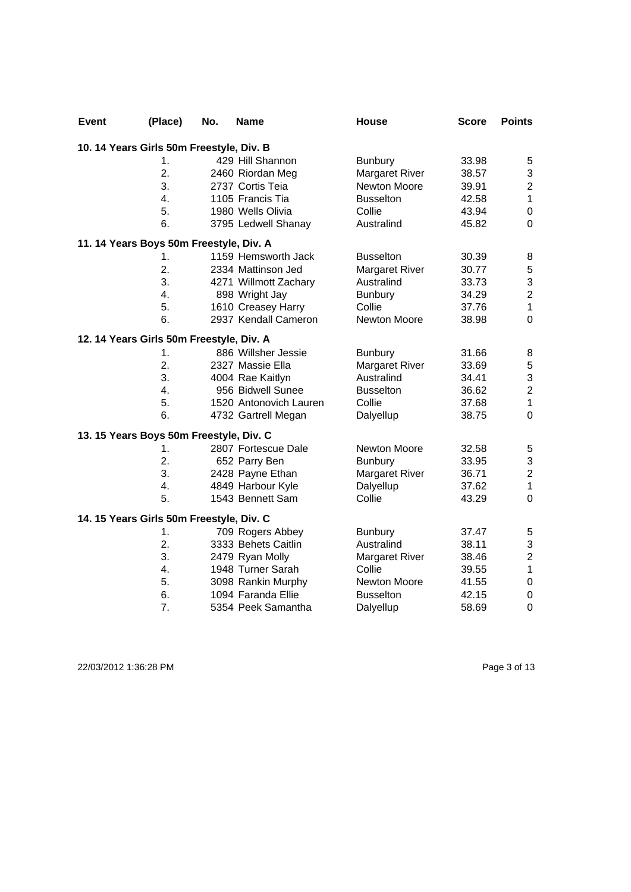| Event | (Place)                                  | No. | Name                   | House                 | <b>Score</b> | <b>Points</b>             |
|-------|------------------------------------------|-----|------------------------|-----------------------|--------------|---------------------------|
|       | 10. 14 Years Girls 50m Freestyle, Div. B |     |                        |                       |              |                           |
|       | 1.                                       |     | 429 Hill Shannon       | <b>Bunbury</b>        | 33.98        | 5                         |
|       | 2.                                       |     | 2460 Riordan Meg       | <b>Margaret River</b> | 38.57        | $\mathsf 3$               |
|       | 3.                                       |     | 2737 Cortis Teia       | <b>Newton Moore</b>   | 39.91        | $\boldsymbol{2}$          |
|       | 4.                                       |     | 1105 Francis Tia       | <b>Busselton</b>      | 42.58        | $\mathbf{1}$              |
|       | 5.                                       |     | 1980 Wells Olivia      | Collie                | 43.94        | $\pmb{0}$                 |
|       | 6.                                       |     | 3795 Ledwell Shanay    | Australind            | 45.82        | $\mathbf 0$               |
|       | 11. 14 Years Boys 50m Freestyle, Div. A  |     |                        |                       |              |                           |
|       | 1.                                       |     | 1159 Hemsworth Jack    | <b>Busselton</b>      | 30.39        | 8                         |
|       | 2.                                       |     | 2334 Mattinson Jed     | <b>Margaret River</b> | 30.77        | $\mathbf 5$               |
|       | 3.                                       |     | 4271 Willmott Zachary  | Australind            | 33.73        | $\ensuremath{\mathsf{3}}$ |
|       | 4.                                       |     | 898 Wright Jay         | <b>Bunbury</b>        | 34.29        | $\overline{c}$            |
|       | 5.                                       |     | 1610 Creasey Harry     | Collie                | 37.76        | $\mathbf{1}$              |
|       | 6.                                       |     | 2937 Kendall Cameron   | Newton Moore          | 38.98        | $\mathbf 0$               |
|       | 12. 14 Years Girls 50m Freestyle, Div. A |     |                        |                       |              |                           |
|       | 1.                                       |     | 886 Willsher Jessie    | <b>Bunbury</b>        | 31.66        | 8                         |
|       | 2.                                       |     | 2327 Massie Ella       | <b>Margaret River</b> | 33.69        | 5                         |
|       | 3.                                       |     | 4004 Rae Kaitlyn       | Australind            | 34.41        | $\sqrt{3}$                |
|       | 4.                                       |     | 956 Bidwell Sunee      | <b>Busselton</b>      | 36.62        | $\overline{2}$            |
|       | 5.                                       |     | 1520 Antonovich Lauren | Collie                | 37.68        | $\mathbf{1}$              |
|       | 6.                                       |     | 4732 Gartrell Megan    | Dalyellup             | 38.75        | $\mathbf 0$               |
|       | 13. 15 Years Boys 50m Freestyle, Div. C  |     |                        |                       |              |                           |
|       | 1.                                       |     | 2807 Fortescue Dale    | Newton Moore          | 32.58        | 5                         |
|       | 2.                                       |     | 652 Parry Ben          | <b>Bunbury</b>        | 33.95        | $\ensuremath{\mathsf{3}}$ |
|       | 3.                                       |     | 2428 Payne Ethan       | <b>Margaret River</b> | 36.71        | $\boldsymbol{2}$          |
|       | 4.                                       |     | 4849 Harbour Kyle      | Dalyellup             | 37.62        | $\mathbf{1}$              |
|       | 5.                                       |     | 1543 Bennett Sam       | Collie                | 43.29        | $\mathbf 0$               |
|       | 14. 15 Years Girls 50m Freestyle, Div. C |     |                        |                       |              |                           |
|       | 1.                                       |     | 709 Rogers Abbey       | <b>Bunbury</b>        | 37.47        | 5                         |
|       | 2.                                       |     | 3333 Behets Caitlin    | Australind            | 38.11        | $\mathsf 3$               |
|       | 3.                                       |     | 2479 Ryan Molly        | <b>Margaret River</b> | 38.46        | $\mathbf 2$               |
|       | 4.                                       |     | 1948 Turner Sarah      | Collie                | 39.55        | $\mathbf{1}$              |
|       | 5.                                       |     | 3098 Rankin Murphy     | Newton Moore          | 41.55        | $\pmb{0}$                 |
|       | 6.                                       |     | 1094 Faranda Ellie     | <b>Busselton</b>      | 42.15        | $\pmb{0}$                 |
|       | 7.                                       |     | 5354 Peek Samantha     | Dalyellup             | 58.69        | $\mathbf 0$               |
|       |                                          |     |                        |                       |              |                           |

22/03/2012 1:36:28 PM Page 3 of 13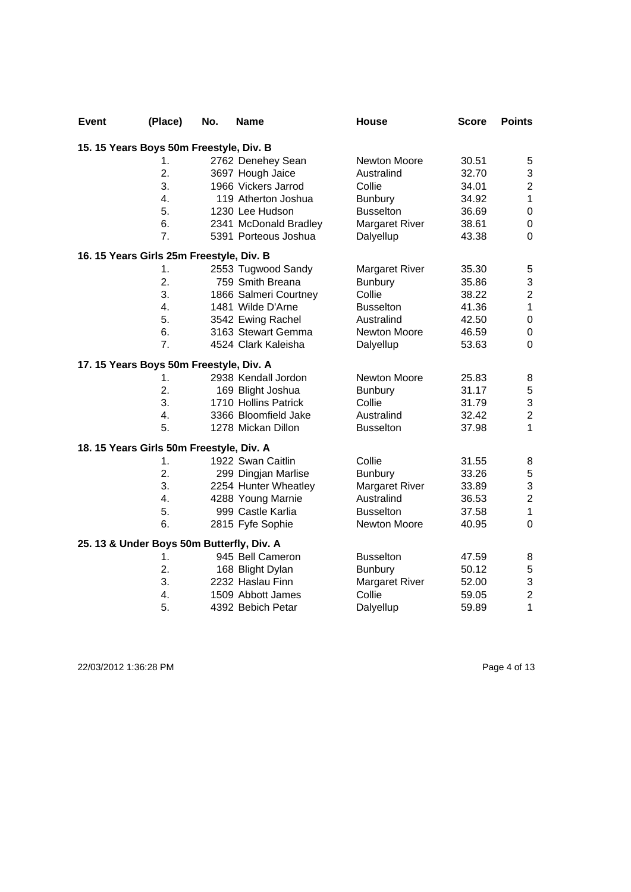| Event                                     | (Place)          | No. | <b>Name</b>           | <b>House</b>          | <b>Score</b> | <b>Points</b>    |  |  |  |
|-------------------------------------------|------------------|-----|-----------------------|-----------------------|--------------|------------------|--|--|--|
| 15. 15 Years Boys 50m Freestyle, Div. B   |                  |     |                       |                       |              |                  |  |  |  |
|                                           | 1.               |     | 2762 Denehey Sean     | <b>Newton Moore</b>   | 30.51        | 5                |  |  |  |
|                                           | 2.               |     | 3697 Hough Jaice      | Australind            | 32.70        | 3                |  |  |  |
|                                           | 3.               |     | 1966 Vickers Jarrod   | Collie                | 34.01        | $\overline{2}$   |  |  |  |
|                                           | 4.               |     | 119 Atherton Joshua   | <b>Bunbury</b>        | 34.92        | 1                |  |  |  |
|                                           | 5.               |     | 1230 Lee Hudson       | <b>Busselton</b>      | 36.69        | $\mathbf 0$      |  |  |  |
|                                           | 6.               |     | 2341 McDonald Bradley | <b>Margaret River</b> | 38.61        | $\boldsymbol{0}$ |  |  |  |
|                                           | 7.               |     | 5391 Porteous Joshua  | Dalyellup             | 43.38        | $\mathbf 0$      |  |  |  |
| 16. 15 Years Girls 25m Freestyle, Div. B  |                  |     |                       |                       |              |                  |  |  |  |
|                                           | 1.               |     | 2553 Tugwood Sandy    | <b>Margaret River</b> | 35.30        | 5                |  |  |  |
|                                           | $\overline{2}$ . |     | 759 Smith Breana      | <b>Bunbury</b>        | 35.86        | 3                |  |  |  |
|                                           | 3.               |     | 1866 Salmeri Courtney | Collie                | 38.22        | $\overline{2}$   |  |  |  |
|                                           | 4.               |     | 1481 Wilde D'Arne     | <b>Busselton</b>      | 41.36        | 1                |  |  |  |
|                                           | 5.               |     | 3542 Ewing Rachel     | Australind            | 42.50        | 0                |  |  |  |
|                                           | 6.               |     | 3163 Stewart Gemma    | <b>Newton Moore</b>   | 46.59        | 0                |  |  |  |
|                                           | 7.               |     | 4524 Clark Kaleisha   | Dalyellup             | 53.63        | 0                |  |  |  |
| 17. 15 Years Boys 50m Freestyle, Div. A   |                  |     |                       |                       |              |                  |  |  |  |
|                                           | 1.               |     | 2938 Kendall Jordon   | <b>Newton Moore</b>   | 25.83        | 8                |  |  |  |
|                                           | 2.               |     | 169 Blight Joshua     | <b>Bunbury</b>        | 31.17        | 5                |  |  |  |
|                                           | 3.               |     | 1710 Hollins Patrick  | Collie                | 31.79        | 3                |  |  |  |
|                                           | 4.               |     | 3366 Bloomfield Jake  | Australind            | 32.42        | $\overline{c}$   |  |  |  |
|                                           | 5.               |     | 1278 Mickan Dillon    | <b>Busselton</b>      | 37.98        | 1                |  |  |  |
| 18. 15 Years Girls 50m Freestyle, Div. A  |                  |     |                       |                       |              |                  |  |  |  |
|                                           | 1.               |     | 1922 Swan Caitlin     | Collie                | 31.55        | 8                |  |  |  |
|                                           | $\overline{2}$ . |     | 299 Dingjan Marlise   | <b>Bunbury</b>        | 33.26        | 5                |  |  |  |
|                                           | 3.               |     | 2254 Hunter Wheatley  | <b>Margaret River</b> | 33.89        | 3                |  |  |  |
|                                           | 4.               |     | 4288 Young Marnie     | Australind            | 36.53        | $\overline{c}$   |  |  |  |
|                                           | 5.               |     | 999 Castle Karlia     | <b>Busselton</b>      | 37.58        | 1                |  |  |  |
|                                           | 6.               |     | 2815 Fyfe Sophie      | Newton Moore          | 40.95        | 0                |  |  |  |
| 25. 13 & Under Boys 50m Butterfly, Div. A |                  |     |                       |                       |              |                  |  |  |  |
|                                           | 1.               |     | 945 Bell Cameron      | <b>Busselton</b>      | 47.59        | 8                |  |  |  |
|                                           | 2.               |     | 168 Blight Dylan      | <b>Bunbury</b>        | 50.12        | 5                |  |  |  |
|                                           | 3.               |     | 2232 Haslau Finn      | <b>Margaret River</b> | 52.00        | 3                |  |  |  |
|                                           | 4.               |     | 1509 Abbott James     | Collie                | 59.05        | $\overline{c}$   |  |  |  |
|                                           | 5.               |     | 4392 Bebich Petar     | Dalyellup             | 59.89        | 1                |  |  |  |

22/03/2012 1:36:28 PM Page 4 of 13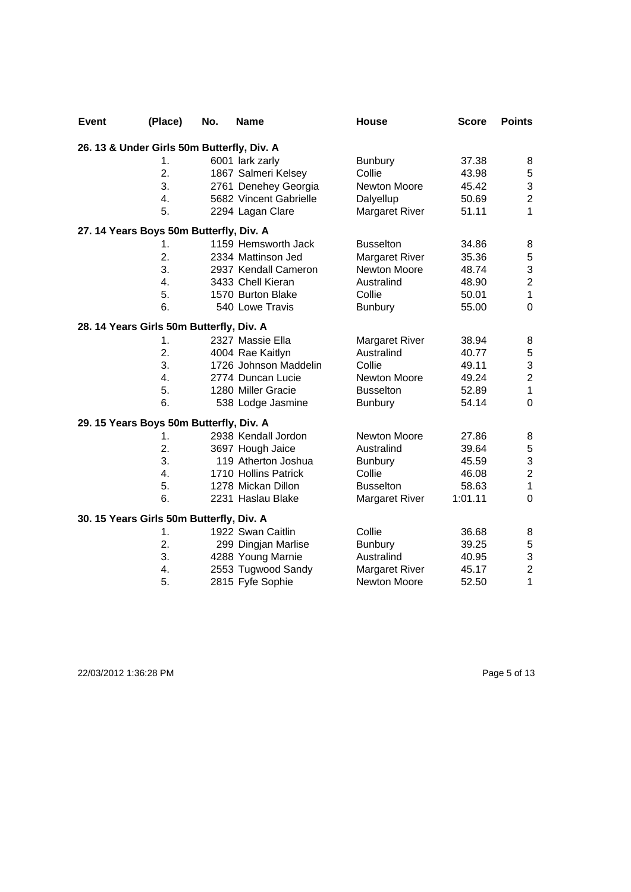| <b>Event</b> | (Place)                                    | No. | <b>Name</b>            | House                 | <b>Score</b> | <b>Points</b>             |
|--------------|--------------------------------------------|-----|------------------------|-----------------------|--------------|---------------------------|
|              | 26. 13 & Under Girls 50m Butterfly, Div. A |     |                        |                       |              |                           |
|              | 1.                                         |     | 6001 lark zarly        | <b>Bunbury</b>        | 37.38        | 8                         |
|              | 2.                                         |     | 1867 Salmeri Kelsey    | Collie                | 43.98        | 5                         |
|              | 3.                                         |     | 2761 Denehey Georgia   | Newton Moore          | 45.42        | $\mathsf 3$               |
|              | 4.                                         |     | 5682 Vincent Gabrielle | Dalyellup             | 50.69        | $\mathbf 2$               |
|              | 5.                                         |     | 2294 Lagan Clare       | <b>Margaret River</b> | 51.11        | 1                         |
|              | 27. 14 Years Boys 50m Butterfly, Div. A    |     |                        |                       |              |                           |
|              | 1.                                         |     | 1159 Hemsworth Jack    | <b>Busselton</b>      | 34.86        | 8                         |
|              | 2.                                         |     | 2334 Mattinson Jed     | <b>Margaret River</b> | 35.36        | $\sqrt{5}$                |
|              | 3.                                         |     | 2937 Kendall Cameron   | Newton Moore          | 48.74        | $\ensuremath{\mathsf{3}}$ |
|              | 4.                                         |     | 3433 Chell Kieran      | Australind            | 48.90        | $\overline{2}$            |
|              | 5.                                         |     | 1570 Burton Blake      | Collie                | 50.01        | $\mathbf{1}$              |
|              | 6.                                         |     | 540 Lowe Travis        | <b>Bunbury</b>        | 55.00        | $\mathbf 0$               |
|              | 28. 14 Years Girls 50m Butterfly, Div. A   |     |                        |                       |              |                           |
|              | 1.                                         |     | 2327 Massie Ella       | Margaret River        | 38.94        | 8                         |
|              | 2.                                         |     | 4004 Rae Kaitlyn       | Australind            | 40.77        | $\mathbf 5$               |
|              | 3.                                         |     | 1726 Johnson Maddelin  | Collie                | 49.11        | 3                         |
|              | 4.                                         |     | 2774 Duncan Lucie      | Newton Moore          | 49.24        | $\overline{2}$            |
|              | 5.                                         |     | 1280 Miller Gracie     | <b>Busselton</b>      | 52.89        | $\mathbf{1}$              |
|              | 6.                                         |     | 538 Lodge Jasmine      | <b>Bunbury</b>        | 54.14        | $\mathbf 0$               |
|              | 29. 15 Years Boys 50m Butterfly, Div. A    |     |                        |                       |              |                           |
|              | 1.                                         |     | 2938 Kendall Jordon    | Newton Moore          | 27.86        | 8                         |
|              | 2.                                         |     | 3697 Hough Jaice       | Australind            | 39.64        | $\mathbf 5$               |
|              | 3.                                         |     | 119 Atherton Joshua    | <b>Bunbury</b>        | 45.59        | $\ensuremath{\mathsf{3}}$ |
|              | $\mathbf{4}$ .                             |     | 1710 Hollins Patrick   | Collie                | 46.08        | $\boldsymbol{2}$          |
|              | 5.                                         |     | 1278 Mickan Dillon     | <b>Busselton</b>      | 58.63        | $\mathbf{1}$              |
|              | 6.                                         |     | 2231 Haslau Blake      | <b>Margaret River</b> | 1:01.11      | $\mathbf 0$               |
|              | 30. 15 Years Girls 50m Butterfly, Div. A   |     |                        |                       |              |                           |
|              | 1 <sub>1</sub>                             |     | 1922 Swan Caitlin      | Collie                | 36.68        | 8                         |
|              | 2.                                         |     | 299 Dingjan Marlise    | <b>Bunbury</b>        | 39.25        | $\mathbf 5$               |
|              | 3.                                         |     | 4288 Young Marnie      | Australind            | 40.95        | $\ensuremath{\mathsf{3}}$ |
|              | 4.                                         |     | 2553 Tugwood Sandy     | <b>Margaret River</b> | 45.17        | $\overline{c}$            |
|              | 5.                                         |     | 2815 Fyfe Sophie       | Newton Moore          | 52.50        | 1                         |

22/03/2012 1:36:28 PM Page 5 of 13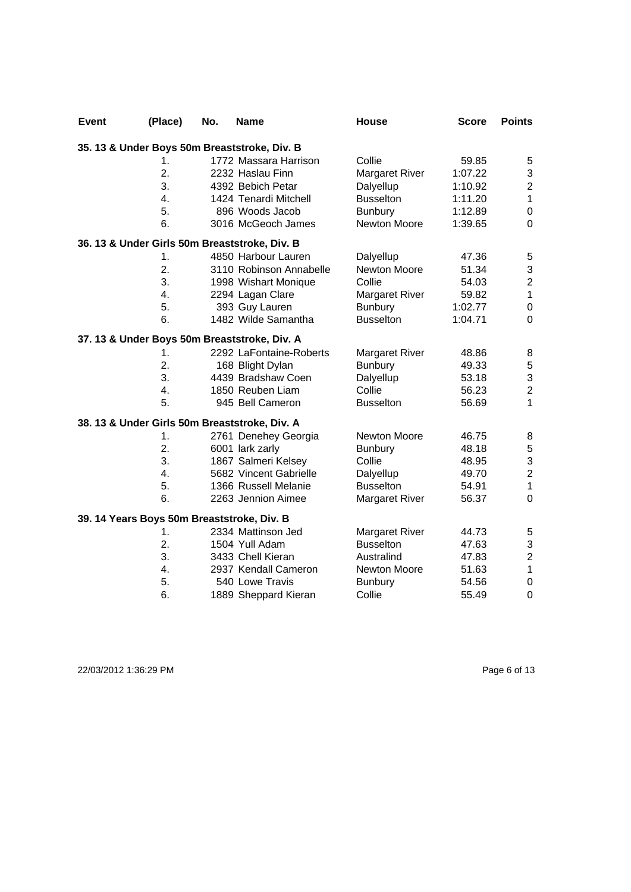| Event | (Place)                                    | No. | Name                                          | <b>House</b>          | <b>Score</b> | <b>Points</b>             |
|-------|--------------------------------------------|-----|-----------------------------------------------|-----------------------|--------------|---------------------------|
|       |                                            |     | 35. 13 & Under Boys 50m Breaststroke, Div. B  |                       |              |                           |
|       | 1.                                         |     | 1772 Massara Harrison                         | Collie                | 59.85        | 5                         |
|       | $\overline{2}$ .                           |     | 2232 Haslau Finn                              | <b>Margaret River</b> | 1:07.22      | $\ensuremath{\mathsf{3}}$ |
|       | 3.                                         |     | 4392 Bebich Petar                             | Dalyellup             | 1:10.92      | $\mathbf 2$               |
|       | 4.                                         |     | 1424 Tenardi Mitchell                         | <b>Busselton</b>      | 1:11.20      | $\mathbf 1$               |
|       | 5.                                         |     | 896 Woods Jacob                               | Bunbury               | 1:12.89      | $\pmb{0}$                 |
|       | 6.                                         |     | 3016 McGeoch James                            | Newton Moore          | 1:39.65      | $\mathbf 0$               |
|       |                                            |     | 36. 13 & Under Girls 50m Breaststroke, Div. B |                       |              |                           |
|       | 1.                                         |     | 4850 Harbour Lauren                           | Dalyellup             | 47.36        | 5                         |
|       | 2.                                         |     | 3110 Robinson Annabelle                       | Newton Moore          | 51.34        | $\ensuremath{\mathsf{3}}$ |
|       | 3.                                         |     | 1998 Wishart Monique                          | Collie                | 54.03        | $\boldsymbol{2}$          |
|       | 4.                                         |     | 2294 Lagan Clare                              | <b>Margaret River</b> | 59.82        | $\mathbf{1}$              |
|       | 5.                                         |     | 393 Guy Lauren                                | <b>Bunbury</b>        | 1:02.77      | $\pmb{0}$                 |
|       | 6.                                         |     | 1482 Wilde Samantha                           | <b>Busselton</b>      | 1:04.71      | $\mathbf 0$               |
|       |                                            |     | 37. 13 & Under Boys 50m Breaststroke, Div. A  |                       |              |                           |
|       | 1.                                         |     | 2292 LaFontaine-Roberts                       | <b>Margaret River</b> | 48.86        | 8                         |
|       | 2.                                         |     | 168 Blight Dylan                              | <b>Bunbury</b>        | 49.33        | $\mathbf 5$               |
|       | 3.                                         |     | 4439 Bradshaw Coen                            | Dalyellup             | 53.18        | $\mathsf 3$               |
|       | 4.                                         |     | 1850 Reuben Liam                              | Collie                | 56.23        | $\overline{2}$            |
|       | 5.                                         |     | 945 Bell Cameron                              | <b>Busselton</b>      | 56.69        | $\mathbf{1}$              |
|       |                                            |     | 38. 13 & Under Girls 50m Breaststroke, Div. A |                       |              |                           |
|       | 1.                                         |     | 2761 Denehey Georgia                          | Newton Moore          | 46.75        | 8                         |
|       | 2.                                         |     | 6001 lark zarly                               | <b>Bunbury</b>        | 48.18        | 5                         |
|       | 3.                                         |     | 1867 Salmeri Kelsey                           | Collie                | 48.95        | $\mathsf 3$               |
|       | 4.                                         |     | 5682 Vincent Gabrielle                        | Dalyellup             | 49.70        | $\boldsymbol{2}$          |
|       | 5.                                         |     | 1366 Russell Melanie                          | <b>Busselton</b>      | 54.91        | $\mathbf{1}$              |
|       | 6.                                         |     | 2263 Jennion Aimee                            | <b>Margaret River</b> | 56.37        | $\mathbf 0$               |
|       | 39. 14 Years Boys 50m Breaststroke, Div. B |     |                                               |                       |              |                           |
|       | 1.                                         |     | 2334 Mattinson Jed                            | <b>Margaret River</b> | 44.73        | 5                         |
|       | 2.                                         |     | 1504 Yull Adam                                | <b>Busselton</b>      | 47.63        | $\sqrt{3}$                |
|       | 3.                                         |     | 3433 Chell Kieran                             | Australind            | 47.83        | $\overline{c}$            |
|       | 4.                                         |     | 2937 Kendall Cameron                          | Newton Moore          | 51.63        | $\mathbf{1}$              |
|       | 5.                                         |     | 540 Lowe Travis                               | <b>Bunbury</b>        | 54.56        | $\pmb{0}$                 |
|       | 6.                                         |     | 1889 Sheppard Kieran                          | Collie                | 55.49        | $\mathbf 0$               |

22/03/2012 1:36:29 PM Page 6 of 13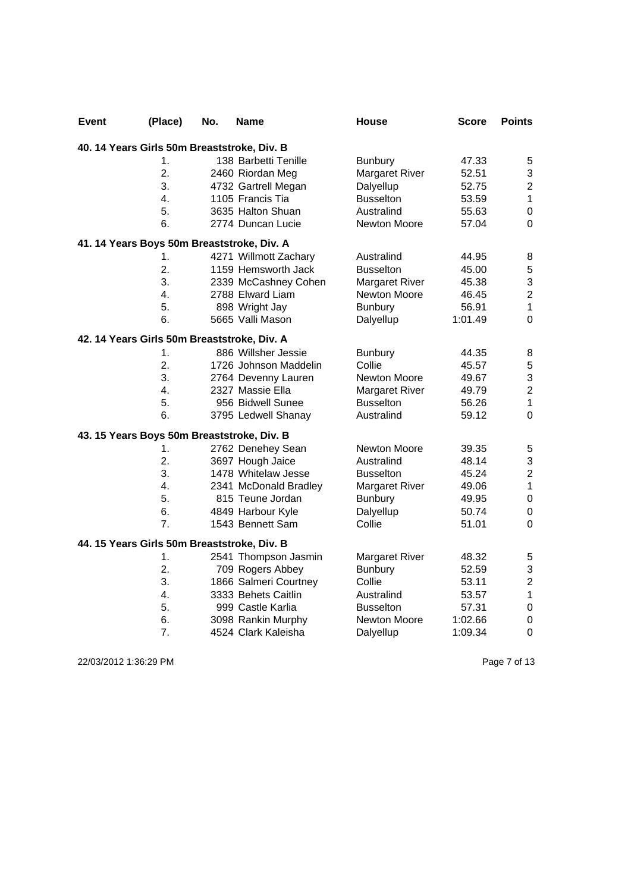| <b>Event</b> | (Place)                                     | No. | Name                  | House                 | Score   | <b>Points</b>             |
|--------------|---------------------------------------------|-----|-----------------------|-----------------------|---------|---------------------------|
|              | 40. 14 Years Girls 50m Breaststroke, Div. B |     |                       |                       |         |                           |
|              | 1.                                          |     | 138 Barbetti Tenille  | <b>Bunbury</b>        | 47.33   | 5                         |
|              | 2.                                          |     | 2460 Riordan Meg      | <b>Margaret River</b> | 52.51   | $\ensuremath{\mathsf{3}}$ |
|              | 3.                                          |     | 4732 Gartrell Megan   | Dalyellup             | 52.75   | $\overline{c}$            |
|              | 4.                                          |     | 1105 Francis Tia      | <b>Busselton</b>      | 53.59   | $\mathbf{1}$              |
|              | 5.                                          |     | 3635 Halton Shuan     | Australind            | 55.63   | $\pmb{0}$                 |
|              | 6.                                          |     | 2774 Duncan Lucie     | Newton Moore          | 57.04   | $\Omega$                  |
|              | 41. 14 Years Boys 50m Breaststroke, Div. A  |     |                       |                       |         |                           |
|              | 1.                                          |     | 4271 Willmott Zachary | Australind            | 44.95   | 8                         |
|              | 2.                                          |     | 1159 Hemsworth Jack   | <b>Busselton</b>      | 45.00   | $\mathbf 5$               |
|              | 3.                                          |     | 2339 McCashney Cohen  | <b>Margaret River</b> | 45.38   | $\ensuremath{\mathsf{3}}$ |
|              | 4.                                          |     | 2788 Elward Liam      | Newton Moore          | 46.45   | $\overline{c}$            |
|              | 5.                                          |     | 898 Wright Jay        | <b>Bunbury</b>        | 56.91   | $\mathbf{1}$              |
|              | 6.                                          |     | 5665 Valli Mason      | Dalyellup             | 1:01.49 | $\mathbf 0$               |
|              | 42. 14 Years Girls 50m Breaststroke, Div. A |     |                       |                       |         |                           |
|              | 1.                                          |     | 886 Willsher Jessie   | <b>Bunbury</b>        | 44.35   | 8                         |
|              | 2.                                          |     | 1726 Johnson Maddelin | Collie                | 45.57   | $\mathbf 5$               |
|              | 3.                                          |     | 2764 Devenny Lauren   | Newton Moore          | 49.67   | 3                         |
|              | 4.                                          |     | 2327 Massie Ella      | <b>Margaret River</b> | 49.79   | $\overline{2}$            |
|              | 5.                                          |     | 956 Bidwell Sunee     | <b>Busselton</b>      | 56.26   | $\mathbf{1}$              |
|              | 6.                                          |     | 3795 Ledwell Shanay   | Australind            | 59.12   | $\mathbf 0$               |
|              | 43. 15 Years Boys 50m Breaststroke, Div. B  |     |                       |                       |         |                           |
|              | 1.                                          |     | 2762 Denehey Sean     | Newton Moore          | 39.35   | 5                         |
|              | 2.                                          |     | 3697 Hough Jaice      | Australind            | 48.14   | $\mathsf 3$               |
|              | 3.                                          |     | 1478 Whitelaw Jesse   | <b>Busselton</b>      | 45.24   | $\overline{c}$            |
|              | 4.                                          |     | 2341 McDonald Bradley | <b>Margaret River</b> | 49.06   | $\mathbf{1}$              |
|              | 5.                                          |     | 815 Teune Jordan      | <b>Bunbury</b>        | 49.95   | $\pmb{0}$                 |
|              | 6.                                          |     | 4849 Harbour Kyle     | Dalyellup             | 50.74   | $\pmb{0}$                 |
|              | 7.                                          |     | 1543 Bennett Sam      | Collie                | 51.01   | $\overline{0}$            |
|              | 44. 15 Years Girls 50m Breaststroke, Div. B |     |                       |                       |         |                           |
|              | 1.                                          |     | 2541 Thompson Jasmin  | <b>Margaret River</b> | 48.32   | 5                         |
|              | 2.                                          |     | 709 Rogers Abbey      | <b>Bunbury</b>        | 52.59   | $\mathsf 3$               |
|              | 3.                                          |     | 1866 Salmeri Courtney | Collie                | 53.11   | $\mathbf 2$               |
|              | 4.                                          |     | 3333 Behets Caitlin   | Australind            | 53.57   | $\mathbf{1}$              |
|              | 5.                                          |     | 999 Castle Karlia     | <b>Busselton</b>      | 57.31   | $\pmb{0}$                 |
|              | 6.                                          |     | 3098 Rankin Murphy    | Newton Moore          | 1:02.66 | $\pmb{0}$                 |
|              | 7.                                          |     | 4524 Clark Kaleisha   | Dalyellup             | 1:09.34 | $\mathbf 0$               |

22/03/2012 1:36:29 PM Page 7 of 13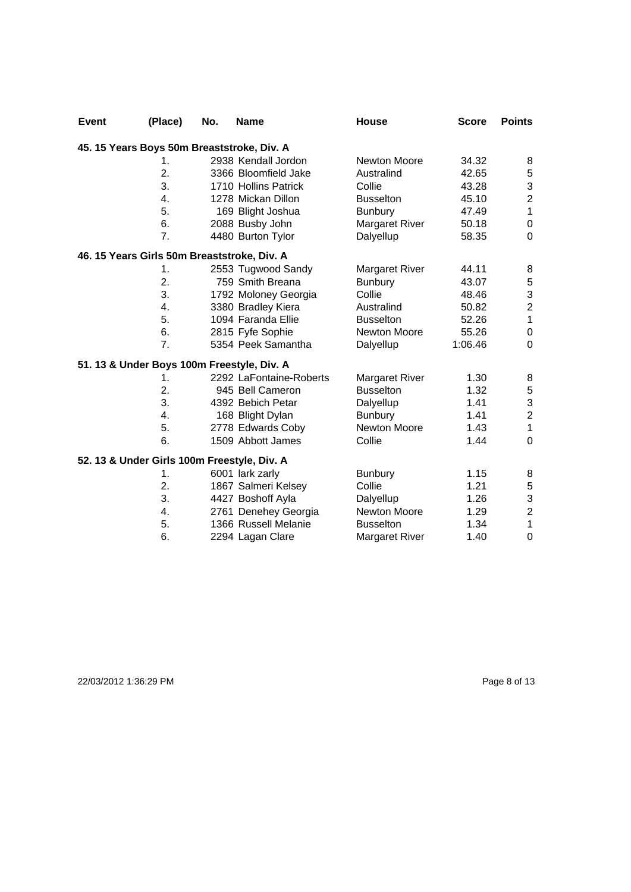| <b>Event</b> | (Place)                                     | No. | <b>Name</b>             | House                 | <b>Score</b> | <b>Points</b>    |
|--------------|---------------------------------------------|-----|-------------------------|-----------------------|--------------|------------------|
|              | 45. 15 Years Boys 50m Breaststroke, Div. A  |     |                         |                       |              |                  |
|              | 1.                                          |     | 2938 Kendall Jordon     | Newton Moore          | 34.32        | 8                |
|              | 2.                                          |     | 3366 Bloomfield Jake    | Australind            | 42.65        | $\,$ 5 $\,$      |
|              | 3.                                          |     | 1710 Hollins Patrick    | Collie                | 43.28        | 3                |
|              | 4.                                          |     | 1278 Mickan Dillon      | <b>Busselton</b>      | 45.10        | $\boldsymbol{2}$ |
|              | 5.                                          |     | 169 Blight Joshua       | <b>Bunbury</b>        | 47.49        | $\mathbf{1}$     |
|              | 6.                                          |     | 2088 Busby John         | <b>Margaret River</b> | 50.18        | $\pmb{0}$        |
|              | 7.                                          |     | 4480 Burton Tylor       | Dalyellup             | 58.35        | 0                |
|              | 46. 15 Years Girls 50m Breaststroke, Div. A |     |                         |                       |              |                  |
|              | 1.                                          |     | 2553 Tugwood Sandy      | <b>Margaret River</b> | 44.11        | 8                |
|              | 2.                                          |     | 759 Smith Breana        | <b>Bunbury</b>        | 43.07        | 5                |
|              | 3.                                          |     | 1792 Moloney Georgia    | Collie                | 48.46        | $\mathfrak{S}$   |
|              | 4.                                          |     | 3380 Bradley Kiera      | Australind            | 50.82        | $\overline{2}$   |
|              | 5.                                          |     | 1094 Faranda Ellie      | <b>Busselton</b>      | 52.26        | $\mathbf{1}$     |
|              | 6.                                          |     | 2815 Fyfe Sophie        | Newton Moore          | 55.26        | $\pmb{0}$        |
|              | 7.                                          |     | 5354 Peek Samantha      | Dalyellup             | 1:06.46      | $\mathbf 0$      |
|              | 51. 13 & Under Boys 100m Freestyle, Div. A  |     |                         |                       |              |                  |
|              | 1.                                          |     | 2292 LaFontaine-Roberts | <b>Margaret River</b> | 1.30         | 8                |
|              | 2.                                          |     | 945 Bell Cameron        | <b>Busselton</b>      | 1.32         | $\mathbf 5$      |
|              | 3.                                          |     | 4392 Bebich Petar       | Dalyellup             | 1.41         | 3                |
|              | 4.                                          |     | 168 Blight Dylan        | <b>Bunbury</b>        | 1.41         | $\overline{c}$   |
|              | 5.                                          |     | 2778 Edwards Coby       | Newton Moore          | 1.43         | $\mathbf{1}$     |
|              | 6.                                          |     | 1509 Abbott James       | Collie                | 1.44         | $\mathbf 0$      |
|              | 52. 13 & Under Girls 100m Freestyle, Div. A |     |                         |                       |              |                  |
|              | 1.                                          |     | 6001 lark zarly         | <b>Bunbury</b>        | 1.15         | 8                |
|              | 2.                                          |     | 1867 Salmeri Kelsey     | Collie                | 1.21         | $\mathbf 5$      |
|              | 3.                                          |     | 4427 Boshoff Ayla       | Dalyellup             | 1.26         | 3                |
|              | 4.                                          |     | 2761 Denehey Georgia    | Newton Moore          | 1.29         | $\overline{c}$   |
|              | 5.                                          |     | 1366 Russell Melanie    | <b>Busselton</b>      | 1.34         | $\mathbf{1}$     |
|              | 6.                                          |     | 2294 Lagan Clare        | <b>Margaret River</b> | 1.40         | $\mathbf 0$      |

22/03/2012 1:36:29 PM Page 8 of 13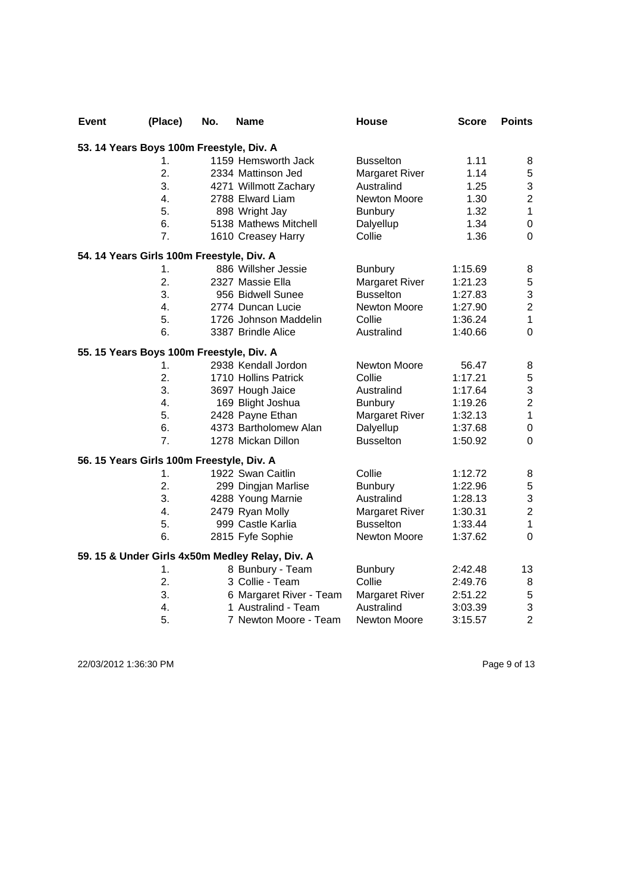| Event | (Place)                                   | No. | <b>Name</b>                                     | House                 | <b>Score</b> | <b>Points</b>  |
|-------|-------------------------------------------|-----|-------------------------------------------------|-----------------------|--------------|----------------|
|       | 53. 14 Years Boys 100m Freestyle, Div. A  |     |                                                 |                       |              |                |
|       | 1.                                        |     | 1159 Hemsworth Jack                             | <b>Busselton</b>      | 1.11         | 8              |
|       | 2.                                        |     | 2334 Mattinson Jed                              | <b>Margaret River</b> | 1.14         | 5              |
|       | 3.                                        |     | 4271 Willmott Zachary                           | Australind            | 1.25         | 3              |
|       | 4.                                        |     | 2788 Elward Liam                                | <b>Newton Moore</b>   | 1.30         | $\overline{c}$ |
|       | 5.                                        |     | 898 Wright Jay                                  | <b>Bunbury</b>        | 1.32         | $\mathbf{1}$   |
|       | 6.                                        |     | 5138 Mathews Mitchell                           | Dalyellup             | 1.34         | $\pmb{0}$      |
|       | 7.                                        |     | 1610 Creasey Harry                              | Collie                | 1.36         | 0              |
|       | 54. 14 Years Girls 100m Freestyle, Div. A |     |                                                 |                       |              |                |
|       | 1.                                        |     | 886 Willsher Jessie                             | <b>Bunbury</b>        | 1:15.69      | 8              |
|       | 2.                                        |     | 2327 Massie Ella                                | <b>Margaret River</b> | 1:21.23      | 5              |
|       | 3.                                        |     | 956 Bidwell Sunee                               | <b>Busselton</b>      | 1:27.83      | $\mathbf{3}$   |
|       | 4.                                        |     | 2774 Duncan Lucie                               | Newton Moore          | 1:27.90      | $\overline{c}$ |
|       | 5.                                        |     | 1726 Johnson Maddelin                           | Collie                | 1:36.24      | $\mathbf{1}$   |
|       | 6.                                        |     | 3387 Brindle Alice                              | Australind            | 1:40.66      | $\mathbf 0$    |
|       | 55. 15 Years Boys 100m Freestyle, Div. A  |     |                                                 |                       |              |                |
|       | 1.                                        |     | 2938 Kendall Jordon                             | Newton Moore          | 56.47        | 8              |
|       | 2.                                        |     | 1710 Hollins Patrick                            | Collie                | 1:17.21      | $\sqrt{5}$     |
|       | 3.                                        |     | 3697 Hough Jaice                                | Australind            | 1:17.64      | $\mathsf 3$    |
|       | 4.                                        |     | 169 Blight Joshua                               | <b>Bunbury</b>        | 1:19.26      | $\mathbf 2$    |
|       | 5.                                        |     | 2428 Payne Ethan                                | <b>Margaret River</b> | 1:32.13      | $\mathbf{1}$   |
|       | 6.                                        |     | 4373 Bartholomew Alan                           | Dalyellup             | 1:37.68      | $\pmb{0}$      |
|       | 7.                                        |     | 1278 Mickan Dillon                              | <b>Busselton</b>      | 1:50.92      | $\mathbf 0$    |
|       | 56. 15 Years Girls 100m Freestyle, Div. A |     |                                                 |                       |              |                |
|       | 1.                                        |     | 1922 Swan Caitlin                               | Collie                | 1:12.72      | 8              |
|       | 2.                                        |     | 299 Dingjan Marlise                             | <b>Bunbury</b>        | 1:22.96      | $\,$ 5 $\,$    |
|       | 3.                                        |     | 4288 Young Marnie                               | Australind            | 1:28.13      | $\mathbf{3}$   |
|       | 4.                                        |     | 2479 Ryan Molly                                 | <b>Margaret River</b> | 1:30.31      | $\overline{2}$ |
|       | 5.                                        |     | 999 Castle Karlia                               | <b>Busselton</b>      | 1:33.44      | $\mathbf{1}$   |
|       | 6.                                        |     | 2815 Fyfe Sophie                                | Newton Moore          | 1:37.62      | $\overline{0}$ |
|       |                                           |     | 59. 15 & Under Girls 4x50m Medley Relay, Div. A |                       |              |                |
|       | 1.                                        |     | 8 Bunbury - Team                                | <b>Bunbury</b>        | 2:42.48      | 13             |
|       | 2.                                        |     | 3 Collie - Team                                 | Collie                | 2:49.76      | 8              |
|       | 3.                                        |     | 6 Margaret River - Team                         | <b>Margaret River</b> | 2:51.22      | 5              |
|       | 4.                                        |     | 1 Australind - Team                             | Australind            | 3:03.39      | $\mathsf 3$    |
|       | 5.                                        |     | 7 Newton Moore - Team                           | Newton Moore          | 3:15.57      | $\overline{2}$ |

22/03/2012 1:36:30 PM Page 9 of 13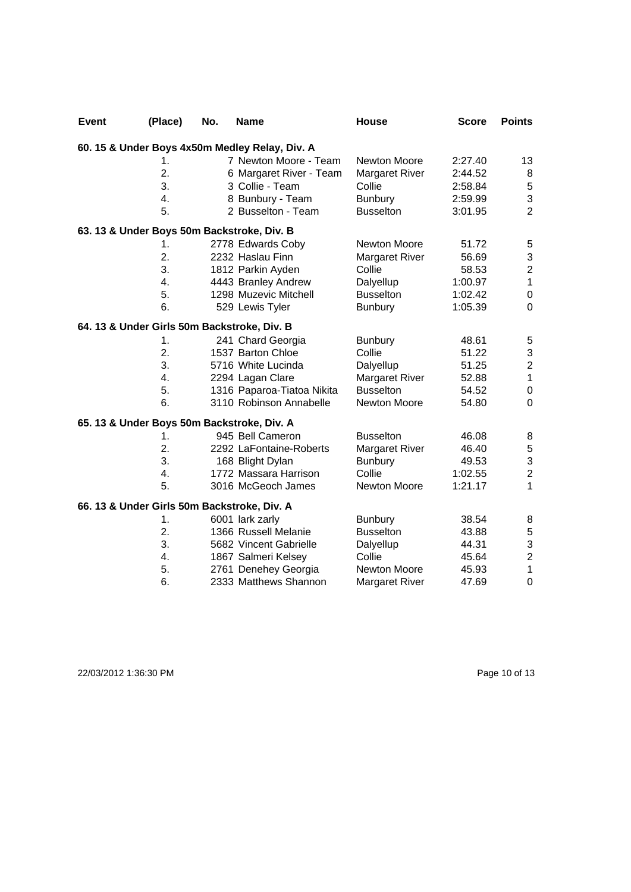| <b>Event</b> | (Place)          | No. | <b>Name</b>                                    | House                 | <b>Score</b> | <b>Points</b>             |
|--------------|------------------|-----|------------------------------------------------|-----------------------|--------------|---------------------------|
|              |                  |     | 60. 15 & Under Boys 4x50m Medley Relay, Div. A |                       |              |                           |
|              | 1.               |     | 7 Newton Moore - Team                          | Newton Moore          | 2:27.40      | 13                        |
|              | 2.               |     | 6 Margaret River - Team                        | Margaret River        | 2:44.52      | 8                         |
|              | 3.               |     | 3 Collie - Team                                | Collie                | 2:58.84      | $5\,$                     |
|              | 4.               |     | 8 Bunbury - Team                               | <b>Bunbury</b>        | 2:59.99      | 3                         |
|              | 5.               |     | 2 Busselton - Team                             | <b>Busselton</b>      | 3:01.95      | $\overline{2}$            |
|              |                  |     | 63. 13 & Under Boys 50m Backstroke, Div. B     |                       |              |                           |
|              | 1.               |     | 2778 Edwards Coby                              | Newton Moore          | 51.72        | 5                         |
|              | 2.               |     | 2232 Haslau Finn                               | Margaret River        | 56.69        |                           |
|              | 3.               |     | 1812 Parkin Ayden                              | Collie                | 58.53        | $\frac{3}{2}$             |
|              | 4.               |     | 4443 Branley Andrew                            | Dalyellup             | 1:00.97      | $\mathbf{1}$              |
|              | 5.               |     | 1298 Muzevic Mitchell                          | <b>Busselton</b>      | 1:02.42      | $\pmb{0}$                 |
|              | 6.               |     | 529 Lewis Tyler                                | <b>Bunbury</b>        | 1:05.39      | $\mathbf 0$               |
|              |                  |     | 64. 13 & Under Girls 50m Backstroke, Div. B    |                       |              |                           |
|              | 1.               |     | 241 Chard Georgia                              | <b>Bunbury</b>        | 48.61        | 5                         |
|              | 2.               |     | 1537 Barton Chloe                              | Collie                | 51.22        | $\ensuremath{\mathsf{3}}$ |
|              | 3.               |     | 5716 White Lucinda                             | Dalyellup             | 51.25        | $\boldsymbol{2}$          |
|              | 4.               |     | 2294 Lagan Clare                               | <b>Margaret River</b> | 52.88        | $\mathbf{1}$              |
|              | 5.               |     | 1316 Paparoa-Tiatoa Nikita                     | <b>Busselton</b>      | 54.52        | $\pmb{0}$                 |
|              | 6.               |     | 3110 Robinson Annabelle                        | Newton Moore          | 54.80        | $\mathbf 0$               |
|              |                  |     | 65. 13 & Under Boys 50m Backstroke, Div. A     |                       |              |                           |
|              | 1.               |     | 945 Bell Cameron                               | <b>Busselton</b>      | 46.08        | 8                         |
|              | $\overline{2}$ . |     | 2292 LaFontaine-Roberts                        | <b>Margaret River</b> | 46.40        | $\mathbf 5$               |
|              | 3.               |     | 168 Blight Dylan                               | <b>Bunbury</b>        | 49.53        | $\mathsf 3$               |
|              | 4.               |     | 1772 Massara Harrison                          | Collie                | 1:02.55      | $\boldsymbol{2}$          |
|              | 5.               |     | 3016 McGeoch James                             | Newton Moore          | 1:21.17      | $\mathbf{1}$              |
|              |                  |     | 66. 13 & Under Girls 50m Backstroke, Div. A    |                       |              |                           |
|              | 1.               |     | 6001 lark zarly                                | <b>Bunbury</b>        | 38.54        | 8                         |
|              | 2.               |     | 1366 Russell Melanie                           | <b>Busselton</b>      | 43.88        | $\mathbf 5$               |
|              | 3.               |     | 5682 Vincent Gabrielle                         | Dalyellup             | 44.31        | $\mathsf 3$               |
|              | 4.               |     | 1867 Salmeri Kelsey                            | Collie                | 45.64        | $\overline{c}$            |
|              | 5.               |     | 2761 Denehey Georgia                           | Newton Moore          | 45.93        | $\mathbf{1}$              |
|              | 6.               |     | 2333 Matthews Shannon                          | <b>Margaret River</b> | 47.69        | $\pmb{0}$                 |

22/03/2012 1:36:30 PM Page 10 of 13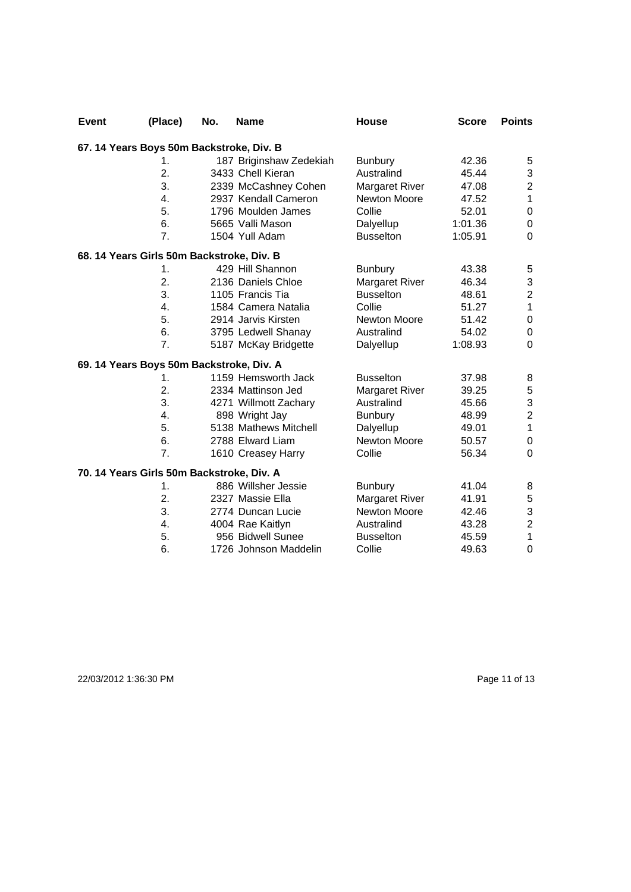| <b>Event</b> | (Place)                                   | No. | <b>Name</b>             | House                 | <b>Score</b> | <b>Points</b>             |
|--------------|-------------------------------------------|-----|-------------------------|-----------------------|--------------|---------------------------|
|              | 67. 14 Years Boys 50m Backstroke, Div. B  |     |                         |                       |              |                           |
|              | 1.                                        |     | 187 Briginshaw Zedekiah | <b>Bunbury</b>        | 42.36        | 5                         |
|              | 2.                                        |     | 3433 Chell Kieran       | Australind            | 45.44        | $\ensuremath{\mathsf{3}}$ |
|              | 3.                                        |     | 2339 McCashney Cohen    | <b>Margaret River</b> | 47.08        | $\overline{c}$            |
|              | 4.                                        |     | 2937 Kendall Cameron    | Newton Moore          | 47.52        | $\mathbf{1}$              |
|              | 5.                                        |     | 1796 Moulden James      | Collie                | 52.01        | $\pmb{0}$                 |
|              | 6.                                        |     | 5665 Valli Mason        | Dalyellup             | 1:01.36      | $\pmb{0}$                 |
|              | 7.                                        |     | 1504 Yull Adam          | <b>Busselton</b>      | 1:05.91      | $\mathbf 0$               |
|              | 68. 14 Years Girls 50m Backstroke, Div. B |     |                         |                       |              |                           |
|              | 1.                                        |     | 429 Hill Shannon        | <b>Bunbury</b>        | 43.38        | 5                         |
|              | 2.                                        |     | 2136 Daniels Chloe      | <b>Margaret River</b> | 46.34        | $\ensuremath{\mathsf{3}}$ |
|              | 3.                                        |     | 1105 Francis Tia        | <b>Busselton</b>      | 48.61        | $\boldsymbol{2}$          |
|              | 4.                                        |     | 1584 Camera Natalia     | Collie                | 51.27        | $\mathbf{1}$              |
|              | 5.                                        |     | 2914 Jarvis Kirsten     | Newton Moore          | 51.42        | $\pmb{0}$                 |
|              | 6.                                        |     | 3795 Ledwell Shanay     | Australind            | 54.02        | $\pmb{0}$                 |
|              | 7.                                        |     | 5187 McKay Bridgette    | Dalyellup             | 1:08.93      | $\Omega$                  |
|              | 69. 14 Years Boys 50m Backstroke, Div. A  |     |                         |                       |              |                           |
|              | 1.                                        |     | 1159 Hemsworth Jack     | <b>Busselton</b>      | 37.98        | 8                         |
|              | 2.                                        |     | 2334 Mattinson Jed      | <b>Margaret River</b> | 39.25        | $\mathbf 5$               |
|              | 3.                                        |     | 4271 Willmott Zachary   | Australind            | 45.66        | $\ensuremath{\mathsf{3}}$ |
|              | 4.                                        |     | 898 Wright Jay          | <b>Bunbury</b>        | 48.99        | $\overline{2}$            |
|              | 5.                                        |     | 5138 Mathews Mitchell   | Dalyellup             | 49.01        | $\mathbf{1}$              |
|              | 6.                                        |     | 2788 Elward Liam        | <b>Newton Moore</b>   | 50.57        | $\pmb{0}$                 |
|              | 7.                                        |     | 1610 Creasey Harry      | Collie                | 56.34        | $\Omega$                  |
|              | 70. 14 Years Girls 50m Backstroke, Div. A |     |                         |                       |              |                           |
|              | 1.                                        |     | 886 Willsher Jessie     | <b>Bunbury</b>        | 41.04        | 8                         |
|              | 2.                                        |     | 2327 Massie Ella        | <b>Margaret River</b> | 41.91        | 5                         |
|              | 3.                                        |     | 2774 Duncan Lucie       | Newton Moore          | 42.46        | $\mathsf 3$               |
|              | 4.                                        |     | 4004 Rae Kaitlyn        | Australind            | 43.28        | $\overline{2}$            |
|              | 5.                                        |     | 956 Bidwell Sunee       | <b>Busselton</b>      | 45.59        | 1                         |
|              | 6.                                        |     | 1726 Johnson Maddelin   | Collie                | 49.63        | $\mathbf 0$               |

22/03/2012 1:36:30 PM Page 11 of 13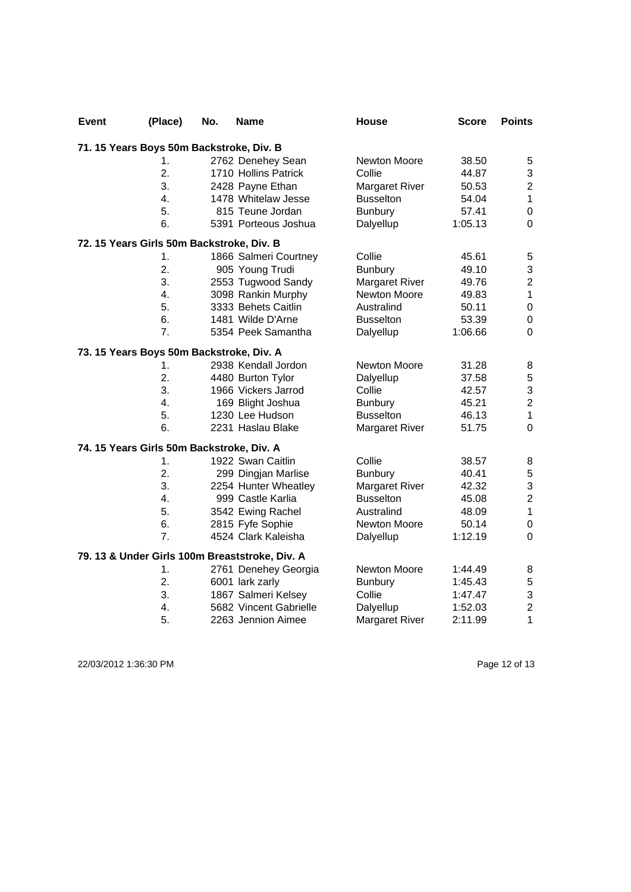| <b>Event</b>                              | (Place) | No. | <b>Name</b>                                    | <b>House</b>          | <b>Score</b> | <b>Points</b>  |
|-------------------------------------------|---------|-----|------------------------------------------------|-----------------------|--------------|----------------|
| 71. 15 Years Boys 50m Backstroke, Div. B  |         |     |                                                |                       |              |                |
|                                           | 1.      |     | 2762 Denehey Sean                              | Newton Moore          | 38.50        | 5              |
|                                           | 2.      |     | 1710 Hollins Patrick                           | Collie                | 44.87        | 3              |
|                                           | 3.      |     | 2428 Payne Ethan                               | Margaret River        | 50.53        | $\overline{c}$ |
|                                           | 4.      |     | 1478 Whitelaw Jesse                            | <b>Busselton</b>      | 54.04        | 1              |
|                                           | 5.      |     | 815 Teune Jordan                               | Bunbury               | 57.41        | 0              |
|                                           | 6.      |     | 5391 Porteous Joshua                           | Dalyellup             | 1:05.13      | 0              |
| 72. 15 Years Girls 50m Backstroke, Div. B |         |     |                                                |                       |              |                |
|                                           | 1.      |     | 1866 Salmeri Courtney                          | Collie                | 45.61        | 5              |
|                                           | 2.      |     | 905 Young Trudi                                | <b>Bunbury</b>        | 49.10        | 3              |
|                                           | 3.      |     | 2553 Tugwood Sandy                             | <b>Margaret River</b> | 49.76        | $\overline{c}$ |
|                                           | 4.      |     | 3098 Rankin Murphy                             | Newton Moore          | 49.83        | 1              |
|                                           | 5.      |     | 3333 Behets Caitlin                            | Australind            | 50.11        | 0              |
|                                           | 6.      |     | 1481 Wilde D'Arne                              | <b>Busselton</b>      | 53.39        | $\mathsf 0$    |
|                                           | 7.      |     | 5354 Peek Samantha                             | Dalyellup             | 1:06.66      | 0              |
| 73. 15 Years Boys 50m Backstroke, Div. A  |         |     |                                                |                       |              |                |
|                                           | 1.      |     | 2938 Kendall Jordon                            | <b>Newton Moore</b>   | 31.28        | 8              |
|                                           | 2.      |     | 4480 Burton Tylor                              | Dalyellup             | 37.58        | 5              |
|                                           | 3.      |     | 1966 Vickers Jarrod                            | Collie                | 42.57        | 3              |
|                                           | 4.      |     | 169 Blight Joshua                              | <b>Bunbury</b>        | 45.21        | $\overline{2}$ |
|                                           | 5.      |     | 1230 Lee Hudson                                | <b>Busselton</b>      | 46.13        | 1              |
|                                           | 6.      |     | 2231 Haslau Blake                              | <b>Margaret River</b> | 51.75        | $\mathbf 0$    |
| 74. 15 Years Girls 50m Backstroke, Div. A |         |     |                                                |                       |              |                |
|                                           | 1.      |     | 1922 Swan Caitlin                              | Collie                | 38.57        | 8              |
|                                           | 2.      |     | 299 Dingjan Marlise                            | <b>Bunbury</b>        | 40.41        | 5              |
|                                           | 3.      |     | 2254 Hunter Wheatley                           | <b>Margaret River</b> | 42.32        | 3              |
|                                           | 4.      |     | 999 Castle Karlia                              | <b>Busselton</b>      | 45.08        | $\overline{2}$ |
|                                           | 5.      |     | 3542 Ewing Rachel                              | Australind            | 48.09        | 1              |
|                                           | 6.      |     | 2815 Fyfe Sophie                               | Newton Moore          | 50.14        | 0              |
|                                           | 7.      |     | 4524 Clark Kaleisha                            | Dalyellup             | 1:12.19      | 0              |
|                                           |         |     | 79. 13 & Under Girls 100m Breaststroke, Div. A |                       |              |                |
|                                           | 1.      |     | 2761 Denehey Georgia                           | Newton Moore          | 1:44.49      | 8              |
|                                           | 2.      |     | 6001 lark zarly                                | <b>Bunbury</b>        | 1:45.43      | 5              |
|                                           | 3.      |     | 1867 Salmeri Kelsey                            | Collie                | 1:47.47      | 3              |
|                                           | 4.      |     | 5682 Vincent Gabrielle                         | Dalyellup             | 1:52.03      | $\overline{2}$ |
|                                           | 5.      |     | 2263 Jennion Aimee                             | <b>Margaret River</b> | 2:11.99      | 1              |

22/03/2012 1:36:30 PM Page 12 of 13